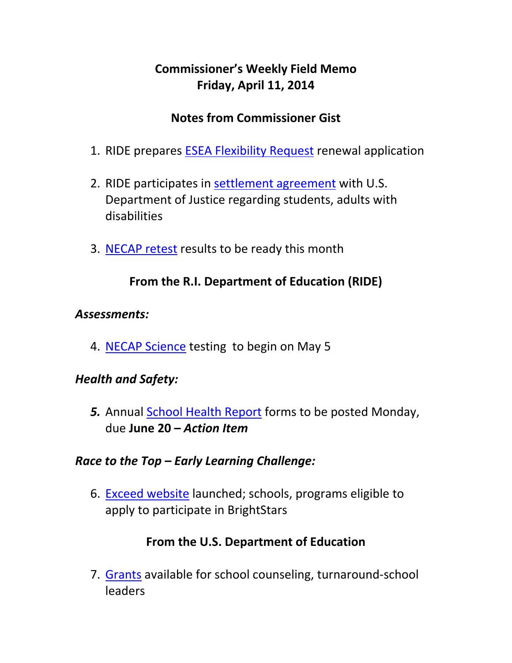# **Commissioner's Weekly Field Memo Friday, April 11, 2014**

## **Notes from Commissioner Gist**

- 1. RIDE prepares ESEA Flexibility Request renewal application
- 2. RIDE participates in settlement agreement with U.S. Department of Justice regarding students, adults with disabilities
- 3. NECAP retest results to be ready this month

### **From the R.I. Department of Education (RIDE)**

#### *Assessments:*

4. NECAP Science testing to begin on May 5

#### *Health and Safety:*

*5.* Annual School Health Report forms to be posted Monday, due **June 20 –** *Action Item*

#### *Race to the Top – Early Learning Challenge:*

6. Exceed website launched; schools, programs eligible to apply to participate in BrightStars

#### **From the U.S. Department of Education**

7. Grants available for school counseling, turnaround‐school leaders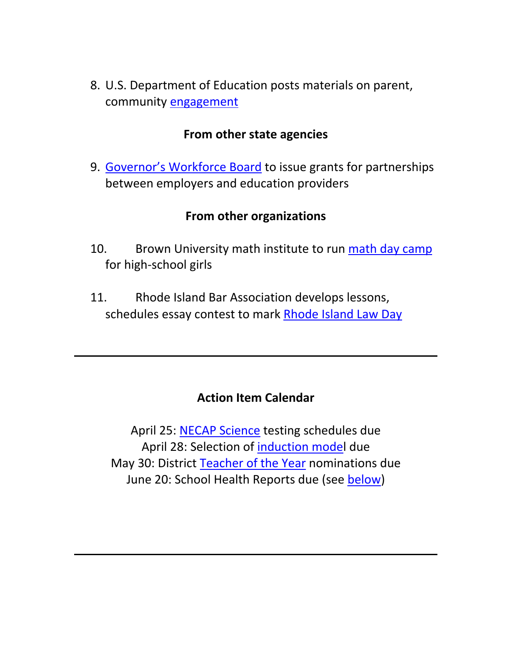8. U.S. Department of Education posts materials on parent, community engagement

#### **From other state agencies**

9. Governor's Workforce Board to issue grants for partnerships between employers and education providers

#### **From other organizations**

- 10. Brown University math institute to run math day camp for high‐school girls
- 11. Rhode Island Bar Association develops lessons, schedules essay contest to mark Rhode Island Law Day

#### **Action Item Calendar**

April 25: NECAP Science testing schedules due April 28: Selection of induction model due May 30: District Teacher of the Year nominations due June 20: School Health Reports due (see below)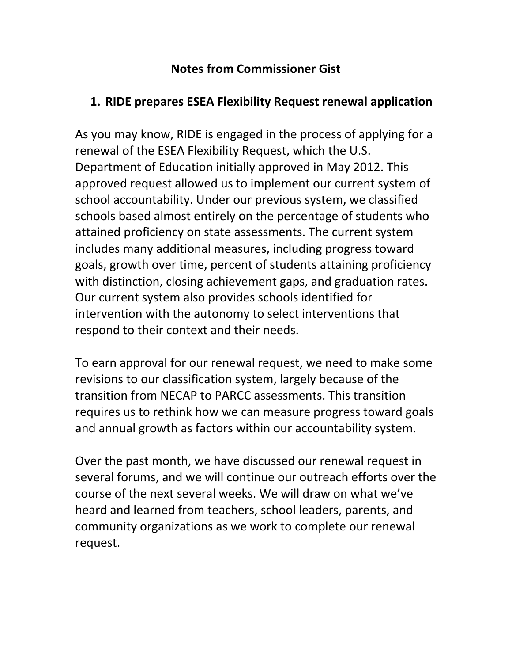## **Notes from Commissioner Gist**

## **1. RIDE prepares ESEA Flexibility Request renewal application**

As you may know, RIDE is engaged in the process of applying for a renewal of the ESEA Flexibility Request, which the U.S. Department of Education initially approved in May 2012. This approved request allowed us to implement our current system of school accountability. Under our previous system, we classified schools based almost entirely on the percentage of students who attained proficiency on state assessments. The current system includes many additional measures, including progress toward goals, growth over time, percent of students attaining proficiency with distinction, closing achievement gaps, and graduation rates. Our current system also provides schools identified for intervention with the autonomy to select interventions that respond to their context and their needs.

To earn approval for our renewal request, we need to make some revisions to our classification system, largely because of the transition from NECAP to PARCC assessments. This transition requires us to rethink how we can measure progress toward goals and annual growth as factors within our accountability system.

Over the past month, we have discussed our renewal request in several forums, and we will continue our outreach efforts over the course of the next several weeks. We will draw on what we've heard and learned from teachers, school leaders, parents, and community organizations as we work to complete our renewal request.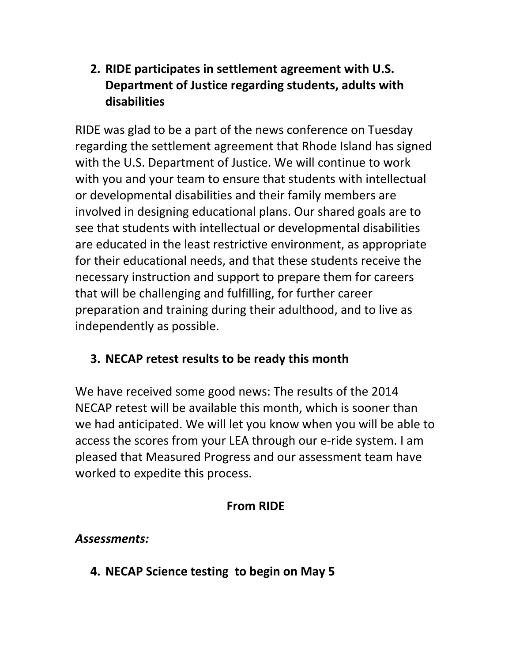# **2. RIDE participates in settlement agreement with U.S. Department of Justice regarding students, adults with disabilities**

RIDE was glad to be a part of the news conference on Tuesday regarding the settlement agreement that Rhode Island has signed with the U.S. Department of Justice. We will continue to work with you and your team to ensure that students with intellectual or developmental disabilities and their family members are involved in designing educational plans. Our shared goals are to see that students with intellectual or developmental disabilities are educated in the least restrictive environment, as appropriate for their educational needs, and that these students receive the necessary instruction and support to prepare them for careers that will be challenging and fulfilling, for further career preparation and training during their adulthood, and to live as independently as possible.

# **3. NECAP retest results to be ready this month**

We have received some good news: The results of the 2014 NECAP retest will be available this month, which is sooner than we had anticipated. We will let you know when you will be able to access the scores from your LEA through our e‐ride system. I am pleased that Measured Progress and our assessment team have worked to expedite this process.

# **From RIDE**

# *Assessments:*

**4. NECAP Science testing to begin on May 5**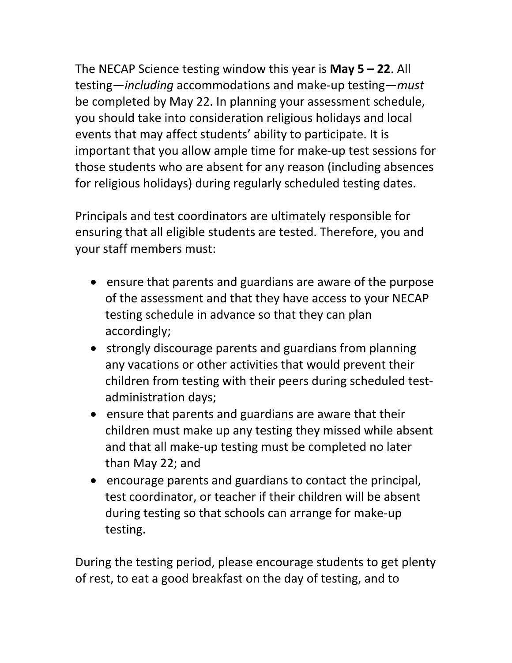The NECAP Science testing window this year is **May 5 – 22**. All testing—*including* accommodations and make‐up testing—*must* be completed by May 22. In planning your assessment schedule, you should take into consideration religious holidays and local events that may affect students' ability to participate. It is important that you allow ample time for make‐up test sessions for those students who are absent for any reason (including absences for religious holidays) during regularly scheduled testing dates.

Principals and test coordinators are ultimately responsible for ensuring that all eligible students are tested. Therefore, you and your staff members must:

- ensure that parents and guardians are aware of the purpose of the assessment and that they have access to your NECAP testing schedule in advance so that they can plan accordingly;
- strongly discourage parents and guardians from planning any vacations or other activities that would prevent their children from testing with their peers during scheduled test‐ administration days;
- ensure that parents and guardians are aware that their children must make up any testing they missed while absent and that all make‐up testing must be completed no later than May 22; and
- encourage parents and guardians to contact the principal, test coordinator, or teacher if their children will be absent during testing so that schools can arrange for make‐up testing.

During the testing period, please encourage students to get plenty of rest, to eat a good breakfast on the day of testing, and to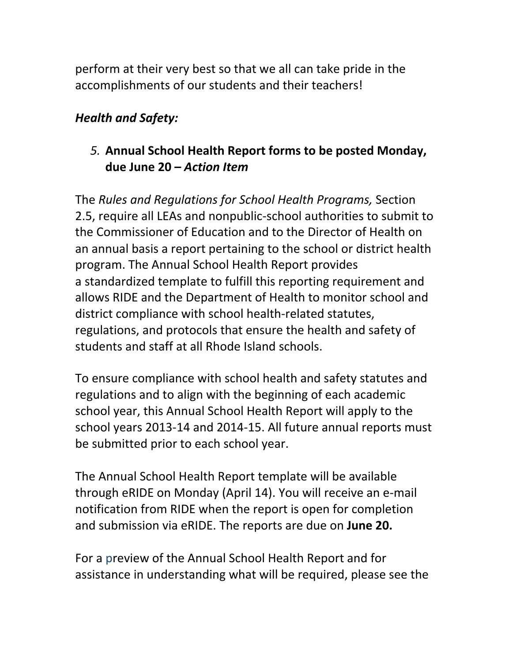perform at their very best so that we all can take pride in the accomplishments of our students and their teachers!

### *Health and Safety:*

## *5.* **Annual School Health Report forms to be posted Monday, due June 20 –** *Action Item*

The *Rules and Regulations for School Health Programs,* Section 2.5, require all LEAs and nonpublic‐school authorities to submit to the Commissioner of Education and to the Director of Health on an annual basis a report pertaining to the school or district health program. The Annual School Health Report provides a standardized template to fulfill this reporting requirement and allows RIDE and the Department of Health to monitor school and district compliance with school health‐related statutes, regulations, and protocols that ensure the health and safety of students and staff at all Rhode Island schools.

To ensure compliance with school health and safety statutes and regulations and to align with the beginning of each academic school year, this Annual School Health Report will apply to the school years 2013‐14 and 2014‐15. All future annual reports must be submitted prior to each school year.

The Annual School Health Report template will be available through eRIDE on Monday (April 14). You will receive an e‐mail notification from RIDE when the report is open for completion and submission via eRIDE. The reports are due on **June 20.**

For a preview of the Annual School Health Report and for assistance in understanding what will be required, please see the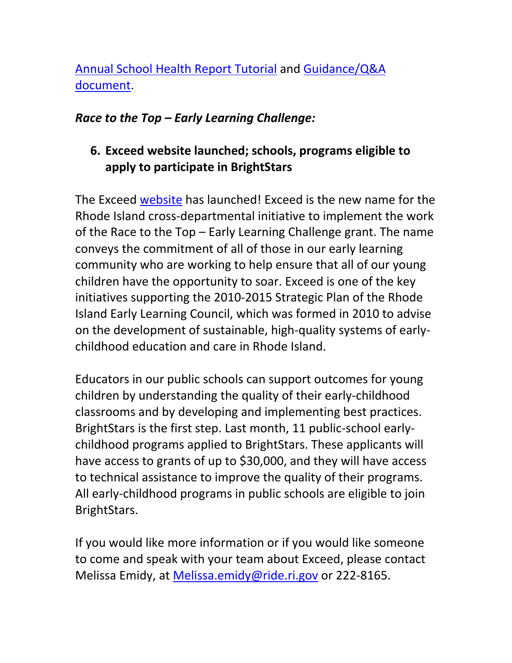# Annual School Health Report Tutorial and Guidance/Q&A document.

#### *Race to the Top – Early Learning Challenge:*

## **6. Exceed website launched; schools, programs eligible to apply to participate in BrightStars**

The Exceed website has launched! Exceed is the new name for the Rhode Island cross‐departmental initiative to implement the work of the Race to the Top – Early Learning Challenge grant. The name conveys the commitment of all of those in our early learning community who are working to help ensure that all of our young children have the opportunity to soar. Exceed is one of the key initiatives supporting the 2010‐2015 Strategic Plan of the Rhode Island Early Learning Council, which was formed in 2010 to advise on the development of sustainable, high‐quality systems of early‐ childhood education and care in Rhode Island.

Educators in our public schools can support outcomes for young children by understanding the quality of their early‐childhood classrooms and by developing and implementing best practices. BrightStars is the first step. Last month, 11 public‐school early‐ childhood programs applied to BrightStars. These applicants will have access to grants of up to \$30,000, and they will have access to technical assistance to improve the quality of their programs. All early‐childhood programs in public schools are eligible to join BrightStars.

If you would like more information or if you would like someone to come and speak with your team about Exceed, please contact Melissa Emidy, at Melissa.emidy@ride.ri.gov or 222-8165.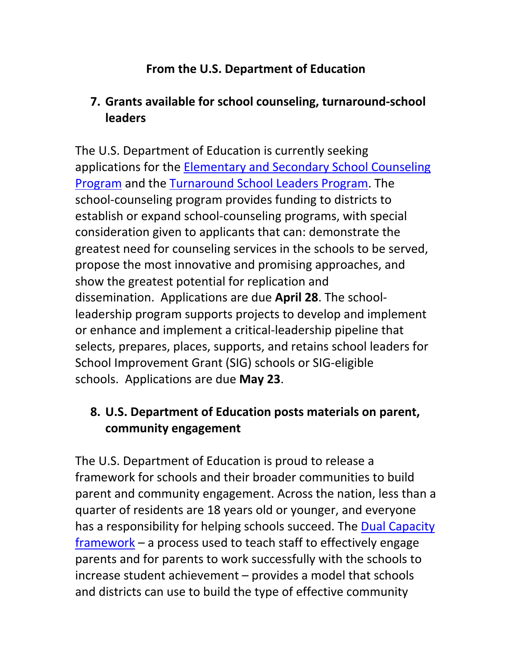## **From the U.S. Department of Education**

## **7. Grants available for school counseling, turnaround‐school leaders**

The U.S. Department of Education is currently seeking applications for the Elementary and Secondary School Counseling Program and the Turnaround School Leaders Program. The school‐counseling program provides funding to districts to establish or expand school‐counseling programs, with special consideration given to applicants that can: demonstrate the greatest need for counseling services in the schools to be served, propose the most innovative and promising approaches, and show the greatest potential for replication and dissemination. Applications are due **April 28**. The school‐ leadership program supports projects to develop and implement or enhance and implement a critical‐leadership pipeline that selects, prepares, places, supports, and retains school leaders for School Improvement Grant (SIG) schools or SIG‐eligible schools. Applications are due **May 23**.

## **8. U.S. Department of Education posts materials on parent, community engagement**

The U.S. Department of Education is proud to release a framework for schools and their broader communities to build parent and community engagement. Across the nation, less than a quarter of residents are 18 years old or younger, and everyone has a responsibility for helping schools succeed. The Dual Capacity framework – a process used to teach staff to effectively engage parents and for parents to work successfully with the schools to increase student achievement – provides a model that schools and districts can use to build the type of effective community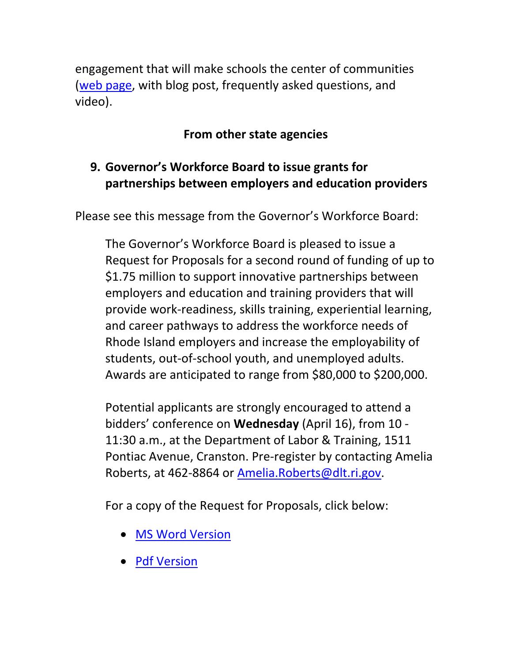engagement that will make schools the center of communities (web page, with blog post, frequently asked questions, and video).

## **From other state agencies**

## **9. Governor's Workforce Board to issue grants for partnerships between employers and education providers**

Please see this message from the Governor's Workforce Board:

The Governor's Workforce Board is pleased to issue a Request for Proposals for a second round of funding of up to \$1.75 million to support innovative partnerships between employers and education and training providers that will provide work‐readiness, skills training, experiential learning, and career pathways to address the workforce needs of Rhode Island employers and increase the employability of students, out‐of‐school youth, and unemployed adults. Awards are anticipated to range from \$80,000 to \$200,000.

Potential applicants are strongly encouraged to attend a bidders' conference on **Wednesday** (April 16), from 10 ‐ 11:30 a.m., at the Department of Labor & Training, 1511 Pontiac Avenue, Cranston. Pre‐register by contacting Amelia Roberts, at 462‐8864 or Amelia.Roberts@dlt.ri.gov.

For a copy of the Request for Proposals, click below:

- MS Word Version
- Pdf Version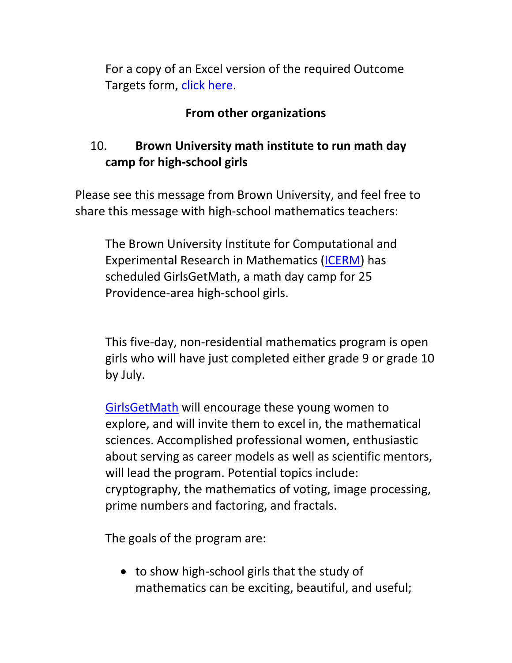For a copy of an Excel version of the required Outcome Targets form, click here.

## **From other organizations**

# 10. **Brown University math institute to run math day camp for high‐school girls**

Please see this message from Brown University, and feel free to share this message with high‐school mathematics teachers:

The Brown University Institute for Computational and Experimental Research in Mathematics (ICERM) has scheduled GirlsGetMath, a math day camp for 25 Providence‐area high‐school girls.

This five‐day, non‐residential mathematics program is open girls who will have just completed either grade 9 or grade 10 by July.

GirlsGetMath will encourage these young women to explore, and will invite them to excel in, the mathematical sciences. Accomplished professional women, enthusiastic about serving as career models as well as scientific mentors, will lead the program. Potential topics include: cryptography, the mathematics of voting, image processing, prime numbers and factoring, and fractals.

The goals of the program are:

● to show high-school girls that the study of mathematics can be exciting, beautiful, and useful;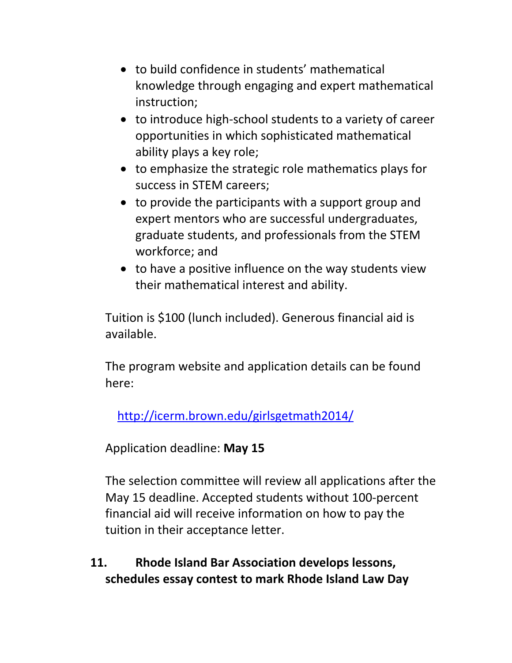- to build confidence in students' mathematical knowledge through engaging and expert mathematical instruction;
- to introduce high-school students to a variety of career opportunities in which sophisticated mathematical ability plays a key role;
- to emphasize the strategic role mathematics plays for success in STEM careers;
- to provide the participants with a support group and expert mentors who are successful undergraduates, graduate students, and professionals from the STEM workforce; and
- to have a positive influence on the way students view their mathematical interest and ability.

Tuition is \$100 (lunch included). Generous financial aid is available.

The program website and application details can be found here:

http://icerm.brown.edu/girlsgetmath2014/

Application deadline: **May 15**

The selection committee will review all applications after the May 15 deadline. Accepted students without 100‐percent financial aid will receive information on how to pay the tuition in their acceptance letter.

**11. Rhode Island Bar Association develops lessons, schedules essay contest to mark Rhode Island Law Day**